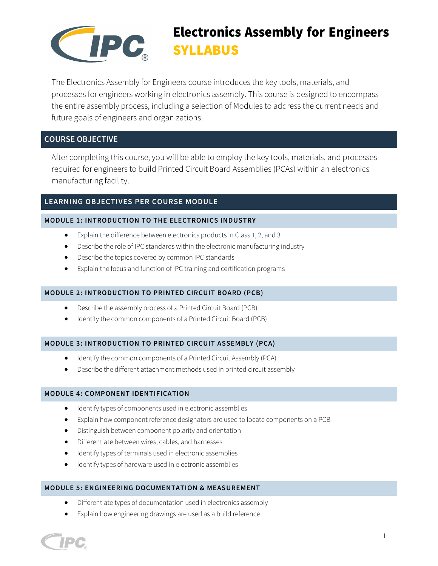

# Electronics Assembly for Engineers SYLLABUS

The Electronics Assembly for Engineers course introduces the key tools, materials, and processes for engineers working in electronics assembly. This course is designed to encompass the entire assembly process, including a selection of Modules to address the current needs and future goals of engineers and organizations.

# **COURSE OBJECTIVE**

After completing this course, you will be able to employ the key tools, materials, and processes required for engineers to build Printed Circuit Board Assemblies (PCAs) within an electronics manufacturing facility.

# **LEARNING OBJECTIVES PER COURSE MODULE**

## **MODULE 1: INTRODUCTION TO THE ELECTRONICS INDUSTRY**

- Explain the difference between electronics products in Class 1, 2, and 3
- Describe the role of IPC standards within the electronic manufacturing industry
- Describe the topics covered by common IPC standards
- Explain the focus and function of IPC training and certification programs

## **MODULE 2: INTRODUCTION TO PRINTED CIRCUIT BOARD (PCB)**

- Describe the assembly process of a Printed Circuit Board (PCB)
- Identify the common components of a Printed Circuit Board (PCB)

## **MODULE 3: INTRODUCTION TO PRINTED CIRCUIT ASSEMBLY (PCA)**

- Identify the common components of a Printed Circuit Assembly (PCA)
- Describe the different attachment methods used in printed circuit assembly

## **MODULE 4: COMPONENT IDENTIFICATION**

- Identify types of components used in electronic assemblies
- Explain how component reference designators are used to locate components on a PCB
- Distinguish between component polarity and orientation
- Differentiate between wires, cables, and harnesses
- Identify types of terminals used in electronic assemblies
- Identify types of hardware used in electronic assemblies

## **MODULE 5: ENGINEERING DOCUMENTATION & MEASUREMENT**

- Differentiate types of documentation used in electronics assembly
- Explain how engineering drawings are used as a build reference

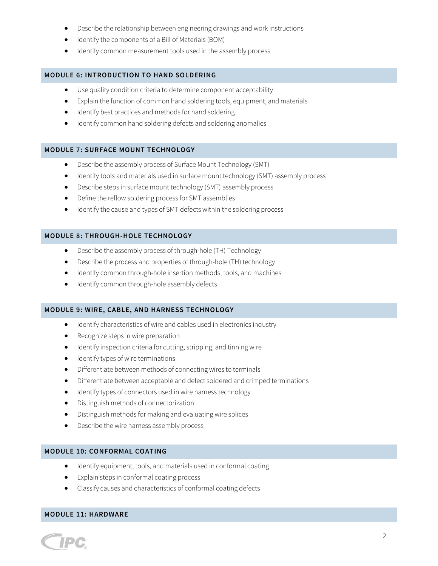- Describe the relationship between engineering drawings and work instructions
- Identify the components of a Bill of Materials (BOM)
- Identify common measurement tools used in the assembly process

#### **MODULE 6: INTRODUCTION TO HAND SOLDERING**

- Use quality condition criteria to determine component acceptability
- Explain the function of common hand soldering tools, equipment, and materials
- Identify best practices and methods for hand soldering
- Identify common hand soldering defects and soldering anomalies

#### **MODULE 7: SURFACE MOUNT TECHNOLOGY**

- Describe the assembly process of Surface Mount Technology (SMT)
- Identify tools and materials used in surface mount technology (SMT) assembly process
- Describe steps in surface mount technology (SMT) assembly process
- Define the reflow soldering process for SMT assemblies
- Identify the cause and types of SMT defects within the soldering process

#### **MODULE 8: THROUGH-HOLE TECHNOLOGY**

- Describe the assembly process of through-hole (TH) Technology
- Describe the process and properties of through-hole (TH) technology
- Identify common through-hole insertion methods, tools, and machines
- Identify common through-hole assembly defects

#### **MODULE 9: WIRE, CABLE, AND HARNESS TECHNOLOGY**

- Identify characteristics of wire and cables used in electronics industry
- Recognize steps in wire preparation
- Identify inspection criteria for cutting, stripping, and tinning wire
- Identify types of wire terminations
- Differentiate between methods of connecting wires to terminals
- Differentiate between acceptable and defect soldered and crimped terminations
- Identify types of connectors used in wire harness technology
- Distinguish methods of connectorization
- Distinguish methods for making and evaluating wire splices
- Describe the wire harness assembly process

#### **MODULE 10: CONFORMAL COATING**

- Identify equipment, tools, and materials used in conformal coating
- Explain steps in conformal coating process
- Classify causes and characteristics of conformal coating defects

#### **MODULE 11: HARDWARE**

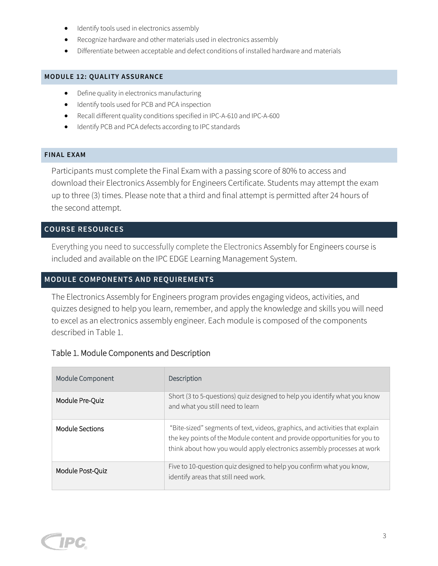- Identify tools used in electronics assembly
- Recognize hardware and other materials used in electronics assembly
- Differentiate between acceptable and defect conditions of installed hardware and materials

## **MODULE 12: QUALITY ASSURANCE**

- Define quality in electronics manufacturing
- Identify tools used for PCB and PCA inspection
- Recall different quality conditions specified in IPC-A-610 and IPC-A-600
- Identify PCB and PCA defects according to IPC standards

## **FINAL EXAM**

Participants must complete the Final Exam with a passing score of 80% to access and download their Electronics Assembly for Engineers Certificate. Students may attempt the exam up to three (3) times. Please note that a third and final attempt is permitted after 24 hours of the second attempt.

# **COURSE RESOURCES**

Everything you need to successfully complete the Electronics Assembly for Engineers course is included and available on the IPC EDGE Learning Management System.

# **MODULE COMPONENTS AND REQUIREMENTS**

The Electronics Assembly for Engineers program provides engaging videos, activities, and quizzes designed to help you learn, remember, and apply the knowledge and skills you will need to excel as an electronics assembly engineer. Each module is composed of the components described in Table 1.

# Table 1. Module Components and Description

| Module Component | Description                                                                                                                                                                                                                         |
|------------------|-------------------------------------------------------------------------------------------------------------------------------------------------------------------------------------------------------------------------------------|
| Module Pre-Quiz  | Short (3 to 5-questions) quiz designed to help you identify what you know<br>and what you still need to learn                                                                                                                       |
| Module Sections  | "Bite-sized" segments of text, videos, graphics, and activities that explain<br>the key points of the Module content and provide opportunities for you to<br>think about how you would apply electronics assembly processes at work |
| Module Post-Quiz | Five to 10-question quiz designed to help you confirm what you know,<br>identify areas that still need work.                                                                                                                        |

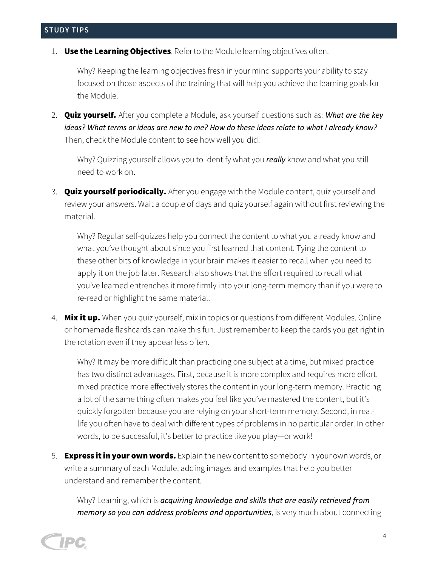1. Use the Learning Objectives. Refer to the Module learning objectives often.

Why? Keeping the learning objectives fresh in your mind supports your ability to stay focused on those aspects of the training that will help you achieve the learning goals for the Module.

2. Quiz yourself. After you complete a Module, ask yourself questions such as: *What are the key ideas? What terms or ideas are new to me? How do these ideas relate to what I already know?* Then, check the Module content to see how well you did.

Why? Quizzing yourself allows you to identify what you *really* know and what you still need to work on.

3. **Quiz yourself periodically.** After you engage with the Module content, quiz yourself and review your answers. Wait a couple of days and quiz yourself again without first reviewing the material.

Why? Regular self-quizzes help you connect the content to what you already know and what you've thought about since you first learned that content. Tying the content to these other bits of knowledge in your brain makes it easier to recall when you need to apply it on the job later. Research also shows that the effort required to recall what you've learned entrenches it more firmly into your long-term memory than if you were to re-read or highlight the same material.

4. **Mix it up.** When you quiz yourself, mix in topics or questions from different Modules. Online or homemade flashcards can make this fun. Just remember to keep the cards you get right in the rotation even if they appear less often.

Why? It may be more difficult than practicing one subject at a time, but mixed practice has two distinct advantages. First, because it is more complex and requires more effort, mixed practice more effectively stores the content in your long-term memory. Practicing a lot of the same thing often makes you feel like you've mastered the content, but it's quickly forgotten because you are relying on your short-term memory. Second, in reallife you often have to deal with different types of problems in no particular order. In other words, to be successful, it's better to practice like you play—or work!

5. **Express it in your own words.** Explain the new content to somebody in your own words, or write a summary of each Module, adding images and examples that help you better understand and remember the content.

Why? Learning, which is *acquiring knowledge and skills that are easily retrieved from memory so you can address problems and opportunities*, is very much about connecting

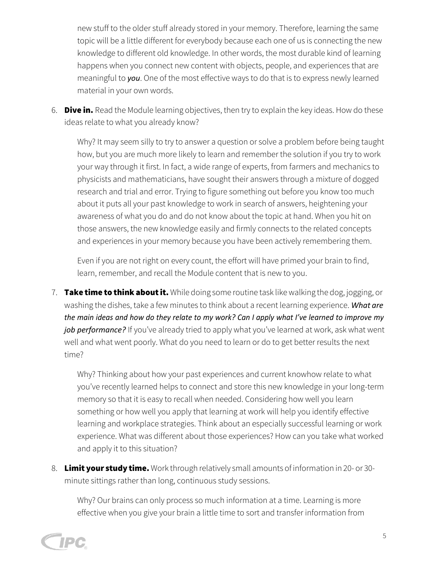new stuff to the older stuff already stored in your memory. Therefore, learning the same topic will be a little different for everybody because each one of us is connecting the new knowledge to different old knowledge. In other words, the most durable kind of learning happens when you connect new content with objects, people, and experiences that are meaningful to *you*. One of the most effective ways to do that is to express newly learned material in your own words.

6. **Dive in.** Read the Module learning objectives, then try to explain the key ideas. How do these ideas relate to what you already know?

Why? It may seem silly to try to answer a question or solve a problem before being taught how, but you are much more likely to learn and remember the solution if you try to work your way through it first. In fact, a wide range of experts, from farmers and mechanics to physicists and mathematicians, have sought their answers through a mixture of dogged research and trial and error. Trying to figure something out before you know too much about it puts all your past knowledge to work in search of answers, heightening your awareness of what you do and do not know about the topic at hand. When you hit on those answers, the new knowledge easily and firmly connects to the related concepts and experiences in your memory because you have been actively remembering them.

Even if you are not right on every count, the effort will have primed your brain to find, learn, remember, and recall the Module content that is new to you.

7. Take time to think about it. While doing some routine task like walking the dog, jogging, or washing the dishes, take a few minutes to think about a recent learning experience. *What are* the main ideas and how do they relate to my work? Can I apply what I've learned to improve my job performance? If you've already tried to apply what you've learned at work, ask what went well and what went poorly. What do you need to learn or do to get better results the next time?

Why? Thinking about how your past experiences and current knowhow relate to what you've recently learned helps to connect and store this new knowledge in your long-term memory so that it is easy to recall when needed. Considering how well you learn something or how well you apply that learning at work will help you identify effective learning and workplace strategies. Think about an especially successful learning or work experience. What was different about those experiences? How can you take what worked and apply it to this situation?

8. Limit your study time. Work through relatively small amounts of information in 20- or 30minute sittings rather than long, continuous study sessions.

Why? Our brains can only process so much information at a time. Learning is more effective when you give your brain a little time to sort and transfer information from

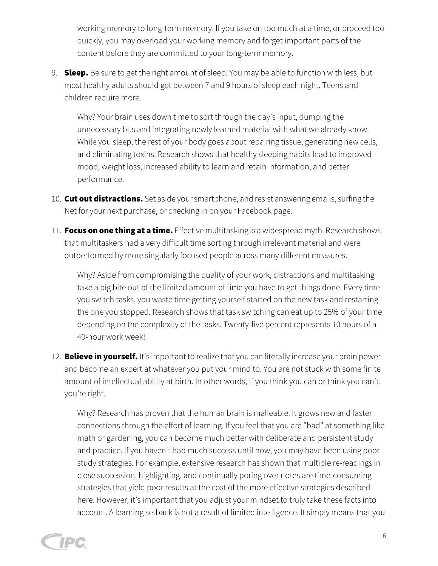working memory to long-term memory. If you take on too much at a time, or proceed too quickly, you may overload your working memory and forget important parts of the content before they are committed to your long-term memory.

9. **Sleep.** Be sure to get the right amount of sleep. You may be able to function with less, but most healthy adults should get between 7 and 9 hours of sleep each night. Teens and children require more.

Why? Your brain uses down time to sort through the day's input, dumping the unnecessary bits and integrating newly learned material with what we already know. While you sleep, the rest of your body goes about repairing tissue, generating new cells, and eliminating toxins. Research shows that healthy sleeping habits lead to improved mood, weight loss, increased ability to learn and retain information, and better performance.

- 10. Cut out distractions. Set aside your smartphone, and resist answering emails, surfing the Net for your next purchase, or checking in on your Facebook page.
- 11. Focus on one thing at a time. Effective multitasking is a widespread myth. Research shows that multitaskers had a very difficult time sorting through irrelevant material and were outperformed by more singularly focused people across many different measures.

Why? Aside from compromising the quality of your work, distractions and multitasking take a big bite out of the limited amount of time you have to get things done. Every time you switch tasks, you waste time getting yourself started on the new task and restarting the one you stopped. Research shows that task switching can eat up to 25% of your time depending on the complexity of the tasks. Twenty-five percent represents 10 hours of a 40-hour work week!

12. **Believe in yourself.** It's important to realize that you can literally increase your brain power and become an expert at whatever you put your mind to. You are not stuck with some finite amount of intellectual ability at birth. In other words, if you think you can or think you can't, you're right.

Why? Research has proven that the human brain is malleable. It grows new and faster connections through the effort of learning. If you feel that you are "bad" at something like math or gardening, you can become much better with deliberate and persistent study and practice. If you haven't had much success until now, you may have been using poor study strategies. For example, extensive research has shown that multiple re-readings in close succession, highlighting, and continually poring over notes are time-consuming strategies that yield poor results at the cost of the more effective strategies described here. However, it's important that you adjust your mindset to truly take these facts into account. A learning setback is not a result of limited intelligence. It simply means that you